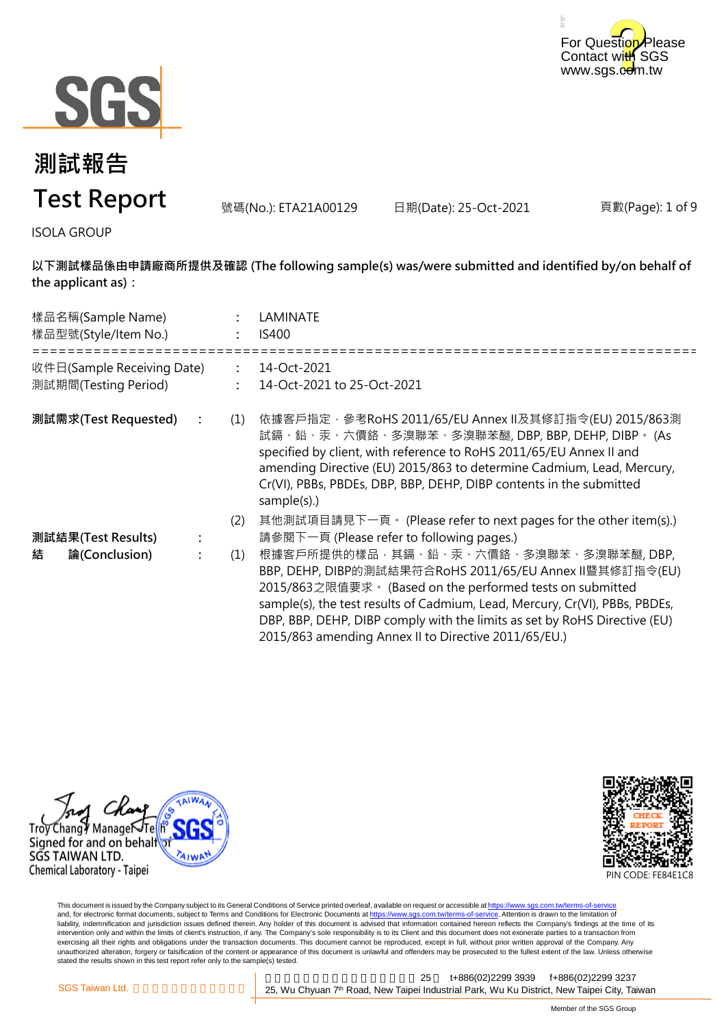



號碼(No.): ETA21A00129 日期(Date): 25-Oct-2021

頁數(Page): 1 of 9

ISOLA GROUP

**以下測試樣品係由申請廠商所提供及確認 (The following sample(s) was/were submitted and identified by/on behalf of the applicant as):**

| 樣品名稱(Sample Name)<br>樣品型號(Style/Item No.)          |                | LAMINATE<br><b>IS400</b>                                                                                                                                                                                                                                                                                                                                                          |
|----------------------------------------------------|----------------|-----------------------------------------------------------------------------------------------------------------------------------------------------------------------------------------------------------------------------------------------------------------------------------------------------------------------------------------------------------------------------------|
| 收件日(Sample Receiving Date)<br>測試期間(Testing Period) | $\ddot{\cdot}$ | 14-Oct-2021<br>14-Oct-2021 to 25-Oct-2021                                                                                                                                                                                                                                                                                                                                         |
| 測試需求(Test Requested)                               | (1)            | 依據客戶指定‧參考RoHS 2011/65/EU Annex Ⅱ及其修訂指令(EU) 2015/863測<br>試鎘、鉛、汞、六價鉻、多溴聯苯、多溴聯苯醚, DBP, BBP, DEHP, DIBP。 (As<br>specified by client, with reference to RoHS 2011/65/EU Annex II and<br>amending Directive (EU) 2015/863 to determine Cadmium, Lead, Mercury,<br>Cr(VI), PBBs, PBDEs, DBP, BBP, DEHP, DIBP contents in the submitted<br>sample(s).)                                    |
|                                                    | (2)            | 其他測試項目請見下一頁。 (Please refer to next pages for the other item(s).)<br>請參閱下一頁 (Please refer to following pages.)                                                                                                                                                                                                                                                                     |
| 測試結果(Test Results)                                 |                |                                                                                                                                                                                                                                                                                                                                                                                   |
| 結<br>論(Conclusion)                                 | (1)            | 根據客戶所提供的樣品,其鎘、鉛、汞、六價鉻、多溴聯苯、多溴聯苯醚,DBP,<br>BBP, DEHP, DIBP的測試結果符合RoHS 2011/65/EU Annex II暨其修訂指令(EU)<br>2015/863之限值要求。(Based on the performed tests on submitted<br>sample(s), the test results of Cadmium, Lead, Mercury, Cr(VI), PBBs, PBDEs,<br>DBP, BBP, DEHP, DIBP comply with the limits as set by RoHS Directive (EU)<br>2015/863 amending Annex II to Directive 2011/65/EU.) |





This document is issued by the Company subject to its General Conditions of Service printed overleaf, available on request or accessible at <u>https://www.sgs.com.tw/terms-of-service</u><br>and, for electronic format documents, su liability, indemnification and jurisdiction issues defined therein. Any holder of this document is advised that information contained hereon reflects the Company's findings at the time of its intervention only and within the limits of client's instruction, if any. The Company's sole responsibility is to its Client and this document does not exonerate parties to a transaction from exercising all their rights and obligations under the transaction documents. This document cannot be reproduced, except in full, without prior written approval of the Company. Any<br>unauthorized alteration, forgery or falsif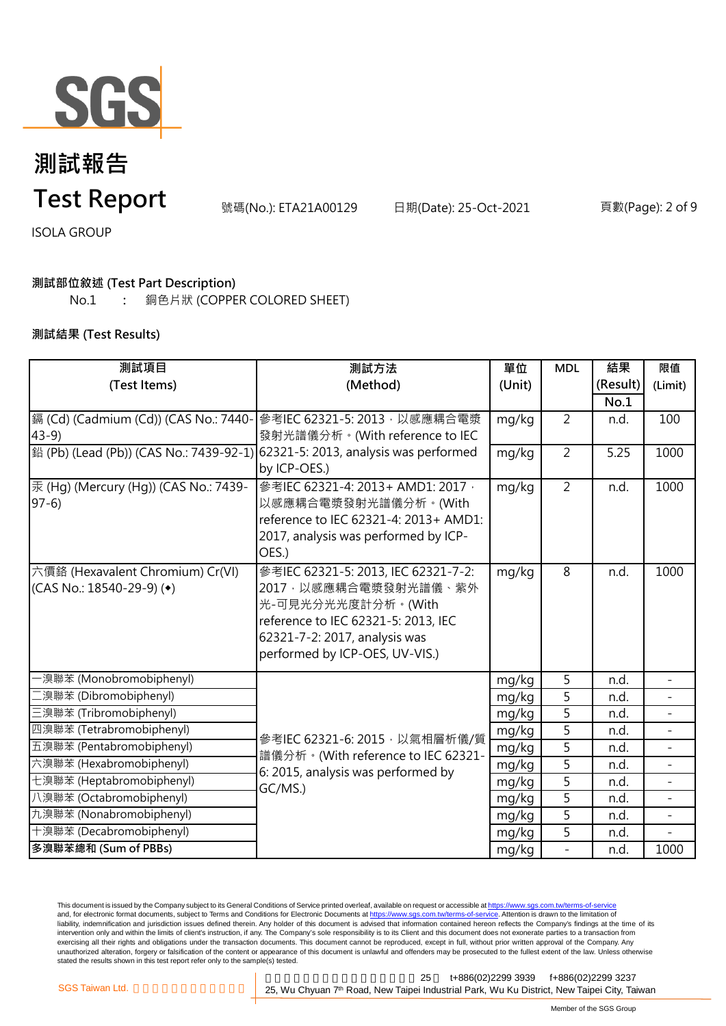

# **測試報告**

**Test Report**

號碼(No.): ETA21A00129 日期(Date): 25-Oct-2021 頁數(Page): 2 of 9

ISOLA GROUP

#### **測試部位敘述 (Test Part Description)**

No.1 **:** 銅色片狀 (COPPER COLORED SHEET)

#### **測試結果 (Test Results)**

| 測試項目                                    | 測試方法                                                                                                                 | 單位     | <b>MDL</b>     | 結果       | 限值           |
|-----------------------------------------|----------------------------------------------------------------------------------------------------------------------|--------|----------------|----------|--------------|
| (Test Items)                            | (Method)                                                                                                             | (Unit) |                | (Result) | (Limit)      |
|                                         |                                                                                                                      |        |                | No.1     |              |
| i (Cd) (Cadmium (Cd)) (CAS No.: 7440-   | 參考IEC 62321-5: 2013, 以感應耦合電漿                                                                                         | mg/kg  | $\overline{2}$ | n.d.     | 100          |
| $43-9$                                  | 發射光譜儀分析。(With reference to IEC                                                                                       |        |                |          |              |
| 鉛 (Pb) (Lead (Pb)) (CAS No.: 7439-92-1) | 62321-5: 2013, analysis was performed                                                                                | mg/kg  | $\overline{2}$ | 5.25     | 1000         |
|                                         | by ICP-OES.)                                                                                                         |        |                |          |              |
| 汞 (Hg) (Mercury (Hg)) (CAS No.: 7439-   | 參考IEC 62321-4: 2013+ AMD1: 2017,                                                                                     | mg/kg  | $\overline{2}$ | n.d.     | 1000         |
| $97-6$                                  | 以感應耦合電漿發射光譜儀分析。(With                                                                                                 |        |                |          |              |
|                                         | reference to IEC 62321-4: 2013+ AMD1:                                                                                |        |                |          |              |
|                                         | 2017, analysis was performed by ICP-<br>OES.)                                                                        |        |                |          |              |
| 六價鉻 (Hexavalent Chromium) Cr(VI)        | 參考IEC 62321-5: 2013, IEC 62321-7-2:                                                                                  |        | 8              | n.d.     | 1000         |
| (CAS No.: 18540-29-9) ( $\bullet$ )     | 2017, 以感應耦合電漿發射光譜儀、紫外                                                                                                | mg/kg  |                |          |              |
|                                         | 光-可見光分光光度計分析。(With                                                                                                   |        |                |          |              |
|                                         | reference to IEC 62321-5: 2013, IEC                                                                                  |        |                |          |              |
|                                         | 62321-7-2: 2017, analysis was                                                                                        |        |                |          |              |
|                                         | performed by ICP-OES, UV-VIS.)                                                                                       |        |                |          |              |
| 澳聯苯 (Monobromobiphenyl)                 |                                                                                                                      | mg/kg  | 5              | n.d.     |              |
| [溴聯苯 (Dibromobiphenyl)                  |                                                                                                                      | mg/kg  | 5              | n.d.     |              |
| 三溴聯苯 (Tribromobiphenyl)                 | 參考IEC 62321-6: 2015, 以氣相層析儀/質<br>譜儀分析。(With reference to IEC 62321-<br>6: 2015, analysis was performed by<br>GC/MS.) | mg/kg  | 5              | n.d.     | ÷.           |
| 四溴聯苯 (Tetrabromobiphenyl)               |                                                                                                                      | mg/kg  | 5              | n.d.     |              |
| 五溴聯苯 (Pentabromobiphenyl)               |                                                                                                                      | mg/kg  | $\overline{5}$ | n.d.     | $\equiv$     |
| 六溴聯苯 (Hexabromobiphenyl)                |                                                                                                                      | mg/kg  | 5              | n.d.     |              |
| 七溴聯苯 (Heptabromobiphenyl)               |                                                                                                                      | mg/kg  | 5              | n.d.     | $\mathbf{r}$ |
| 八溴聯苯 (Octabromobiphenyl)                |                                                                                                                      | mg/kg  | 5              | n.d.     |              |
| 九溴聯苯 (Nonabromobiphenyl)                |                                                                                                                      | mg/kg  | 5              | n.d.     | ÷.           |
| 十溴聯苯 (Decabromobiphenyl)                |                                                                                                                      | mg/kg  | 5              | n.d.     |              |
| 多溴聯苯總和 (Sum of PBBs)                    |                                                                                                                      | mg/kg  | $\overline{a}$ | n.d.     | 1000         |

This document is issued by the Company subject to its General Conditions of Service printed overleaf, available on request or accessible at <u>https://www.sgs.com.tw/terms-of-service</u><br>and, for electronic format documents, su liability, indemnification and jurisdiction issues defined therein. Any holder of this document is advised that information contained hereon reflects the Company's findings at the time of its liability, indemnification and intervention only and within the limits of client's instruction, if any. The Company's sole responsibility is to its Client and this document does not exonerate parties to a transaction from exercising all their rights and obligations under the transaction documents. This document cannot be reproduced, except in full, without prior written approval of the Company. Any<br>unauthorized alteration, forgery or falsif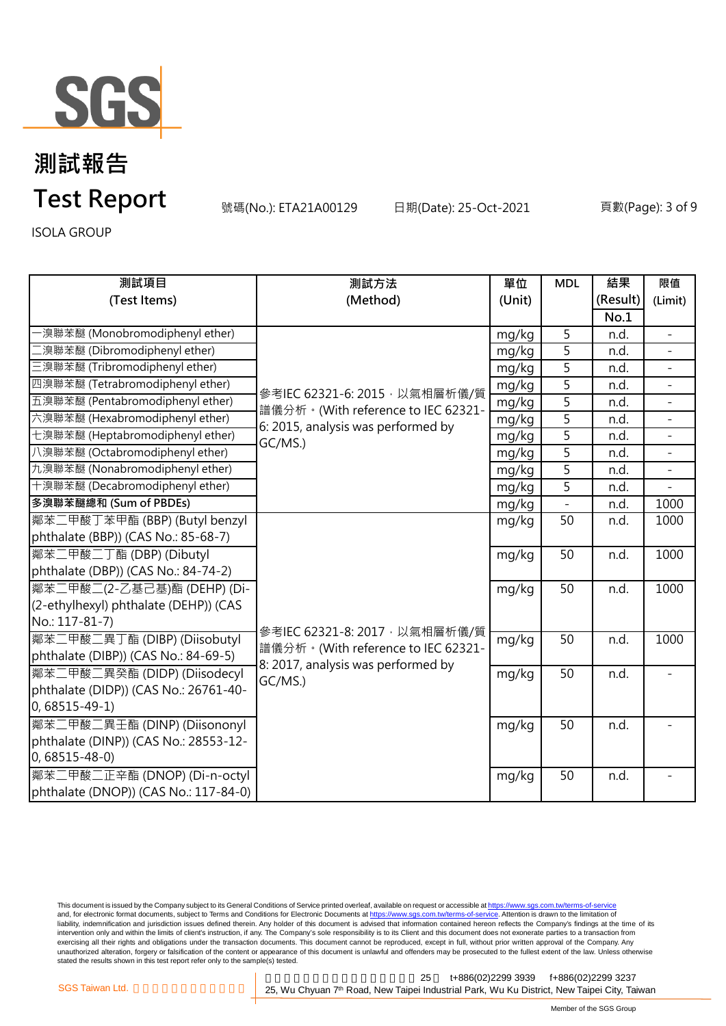

號碼(No.): ETA21A00129 日期(Date): 25-Oct-2021 頁數(Page): 3 of 9

ISOLA GROUP

| 測試項目                                  | 測試方法                                                                                                                 | 單位     | <b>MDL</b>     | 結果       | 限值                       |
|---------------------------------------|----------------------------------------------------------------------------------------------------------------------|--------|----------------|----------|--------------------------|
| (Test Items)                          | (Method)                                                                                                             | (Unit) |                | (Result) | (Limit)                  |
|                                       |                                                                                                                      |        |                | No.1     |                          |
| ·溴聯苯醚 (Monobromodiphenyl ether)       |                                                                                                                      | mg/kg  | 5              | n.d.     | $\overline{\phantom{a}}$ |
| [溴聯苯醚 (Dibromodiphenyl ether)         |                                                                                                                      | mg/kg  | 5              | n.d.     |                          |
| 三溴聯苯醚 (Tribromodiphenyl ether)        |                                                                                                                      | mg/kg  | 5              | n.d.     |                          |
| 四溴聯苯醚 (Tetrabromodiphenyl ether)      | 參考IEC 62321-6: 2015, 以氣相層析儀/質<br>譜儀分析。(With reference to IEC 62321-<br>6: 2015, analysis was performed by<br>GC/MS.) | mg/kg  | $\overline{5}$ | n.d.     |                          |
| 五溴聯苯醚 (Pentabromodiphenyl ether)      |                                                                                                                      | mg/kg  | 5              | n.d.     | $\equiv$                 |
| 六溴聯苯醚 (Hexabromodiphenyl ether)       |                                                                                                                      | mg/kg  | 5              | n.d.     |                          |
| 七溴聯苯醚 (Heptabromodiphenyl ether)      |                                                                                                                      | mg/kg  | $\overline{5}$ | n.d.     | $\blacksquare$           |
| 八溴聯苯醚 (Octabromodiphenyl ether)       |                                                                                                                      | mg/kg  | 5              | n.d.     |                          |
| 九溴聯苯醚 (Nonabromodiphenyl ether)       |                                                                                                                      | mg/kg  | 5              | n.d.     |                          |
| 十溴聯苯醚 (Decabromodiphenyl ether)       |                                                                                                                      | mg/kg  | $\overline{5}$ | n.d.     |                          |
| 多溴聯苯醚總和 (Sum of PBDEs)                |                                                                                                                      | mg/kg  | $\overline{a}$ | n.d.     | 1000                     |
| 鄰苯二甲酸丁苯甲酯 (BBP) (Butyl benzyl         |                                                                                                                      | mg/kg  | 50             | n.d.     | 1000                     |
| phthalate (BBP)) (CAS No.: 85-68-7)   |                                                                                                                      |        |                |          |                          |
| 鄰苯二甲酸二丁酯 (DBP) (Dibutyl               |                                                                                                                      | mg/kg  | 50             | n.d.     | 1000                     |
| phthalate (DBP)) (CAS No.: 84-74-2)   |                                                                                                                      |        |                |          |                          |
| 鄰苯二甲酸二(2-乙基己基)酯 (DEHP) (Di-           |                                                                                                                      | mg/kg  | 50             | n.d.     | 1000                     |
| (2-ethylhexyl) phthalate (DEHP)) (CAS |                                                                                                                      |        |                |          |                          |
| No.: 117-81-7)                        | 參考IEC 62321-8: 2017, 以氣相層析儀/質                                                                                        |        |                |          |                          |
| 鄰苯二甲酸二異丁酯 (DIBP) (Diisobutyl          | 譜儀分析。(With reference to IEC 62321-                                                                                   | mg/kg  | 50             | n.d.     | 1000                     |
| phthalate (DIBP)) (CAS No.: 84-69-5)  | 8: 2017, analysis was performed by                                                                                   |        |                |          |                          |
| 鄰苯二甲酸二異癸酯 (DIDP) (Diisodecyl          | GC/MS.)                                                                                                              | mg/kg  | 50             | n.d.     |                          |
| phthalate (DIDP)) (CAS No.: 26761-40- |                                                                                                                      |        |                |          |                          |
| $0,68515-49-1)$                       |                                                                                                                      |        |                |          |                          |
| 鄰苯二甲酸二異壬酯 (DINP) (Diisononyl          |                                                                                                                      | mg/kg  | 50             | n.d.     |                          |
| phthalate (DINP)) (CAS No.: 28553-12- |                                                                                                                      |        |                |          |                          |
| $0,68515 - 48 - 0$                    |                                                                                                                      |        |                |          |                          |
| 鄰苯二甲酸二正辛酯 (DNOP) (Di-n-octyl          |                                                                                                                      | mg/kg  | 50             | n.d.     |                          |
| phthalate (DNOP)) (CAS No.: 117-84-0) |                                                                                                                      |        |                |          |                          |

This document is issued by the Company subject to its General Conditions of Service printed overleaf, available on request or accessible at <u>https://www.sgs.com.tw/terms-of-service</u><br>and, for electronic format documents, su liability, indemnification and jurisdiction issues defined therein. Any holder of this document is advised that information contained hereon reflects the Company's findings at the time of its liability, indemnification and intervention only and within the limits of client's instruction, if any. The Company's sole responsibility is to its Client and this document does not exonerate parties to a transaction from exercising all their rights and obligations under the transaction documents. This document cannot be reproduced, except in full, without prior written approval of the Company. Any<br>unauthorized alteration, forgery or falsif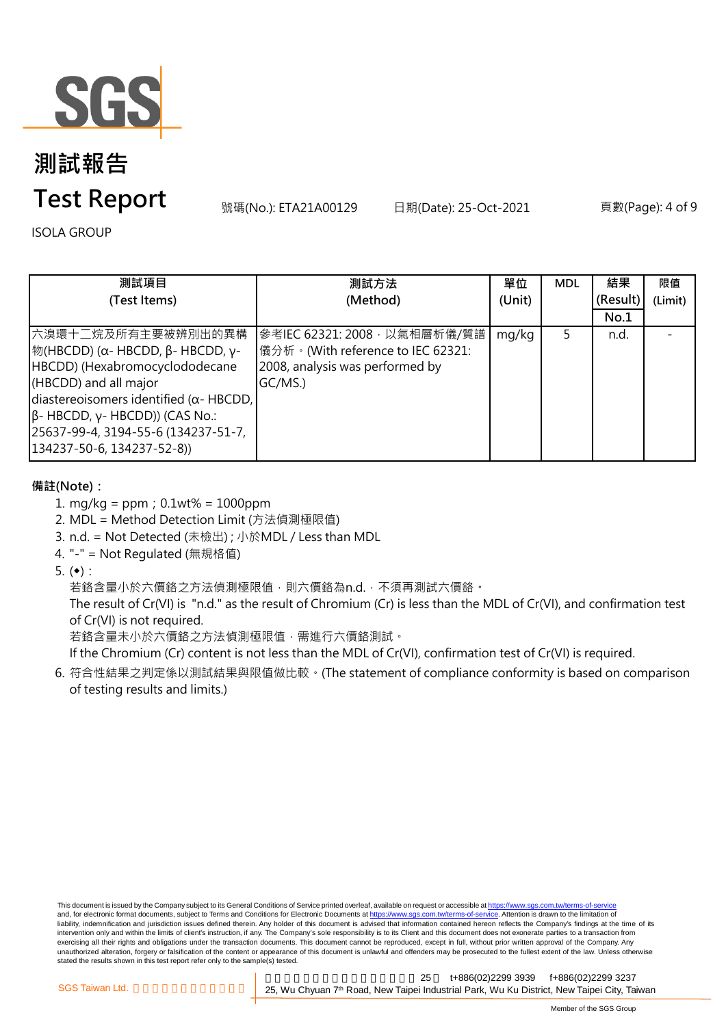

## **測試報告**

### **Test Report**

號碼(No.): ETA21A00129 日期(Date): 25-Oct-2021 頁數(Page): 4 of 9

ISOLA GROUP

| 測試項目                                                                                                                                                                                                                                                                                            | 測試方法                                                                                                             | 單位     | <b>MDL</b> | 結果       | 限值      |
|-------------------------------------------------------------------------------------------------------------------------------------------------------------------------------------------------------------------------------------------------------------------------------------------------|------------------------------------------------------------------------------------------------------------------|--------|------------|----------|---------|
| (Test Items)                                                                                                                                                                                                                                                                                    | (Method)                                                                                                         | (Unit) |            | (Result) | (Limit) |
|                                                                                                                                                                                                                                                                                                 |                                                                                                                  |        |            | No.1     |         |
| 六溴環十二烷及所有主要被辨別出的異構<br><sup> </sup> 物(HBCDD) (α- HBCDD, β- HBCDD, γ-<br>HBCDD) (Hexabromocyclododecane<br>(HBCDD) and all major<br>diastereoisomers identified ( $\alpha$ - HBCDD,<br>$\beta$ - HBCDD, γ- HBCDD)) (CAS No.:<br>25637-99-4, 3194-55-6 (134237-51-7,<br>134237-50-6, 134237-52-8)) | 參考IEC 62321: 2008, 以氣相層析儀/質譜<br> 儀分析。(With reference to IEC 62321:<br>2008, analysis was performed by<br>GC/MS.) | mg/kg  | 5.         | n.d.     |         |

#### **備註(Note):**

- 1. mg/kg = ppm;0.1wt% = 1000ppm
- 2. MDL = Method Detection Limit (方法偵測極限值)
- 3. n.d. = Not Detected (未檢出) ; 小於MDL / Less than MDL
- 4. "-" = Not Regulated (無規格值)
- 5.  $(•):$

若鉻含量小於六價鉻之方法偵測極限值,則六價鉻為n.d.,不須再測試六價鉻。

The result of Cr(VI) is "n.d." as the result of Chromium (Cr) is less than the MDL of Cr(VI), and confirmation test of Cr(VI) is not required.

若鉻含量未小於六價鉻之方法偵測極限值,需進行六價鉻測試。

If the Chromium (Cr) content is not less than the MDL of Cr(VI), confirmation test of Cr(VI) is required.

6. 符合性結果之判定係以測試結果與限值做比較。(The statement of compliance conformity is based on comparison of testing results and limits.)

This document is issued by the Company subject to its General Conditions of Service printed overleaf, available on request or accessible at https://www.sgs.com.tw/terms-of-service and, for electronic format documents, subject to Terms and Conditions for Electronic Documents at https://www.sgs.com.tw/terms-of-service. Attention is drawn to the limitation of liability, indemnification and jurisdiction issues defined therein. Any holder of this document is advised that information contained hereon reflects the Company's findings at the time of its intervention only and within the limits of client's instruction, if any. The Company's sole responsibility is to its Client and this document does not exonerate parties to a transaction from exercising all their rights and obligations under the transaction documents. This document cannot be reproduced, except in full, without prior written approval of the Company. Any<br>unauthorized alteration, forgery or falsif stated the results shown in this test report refer only to the sample(s) tested.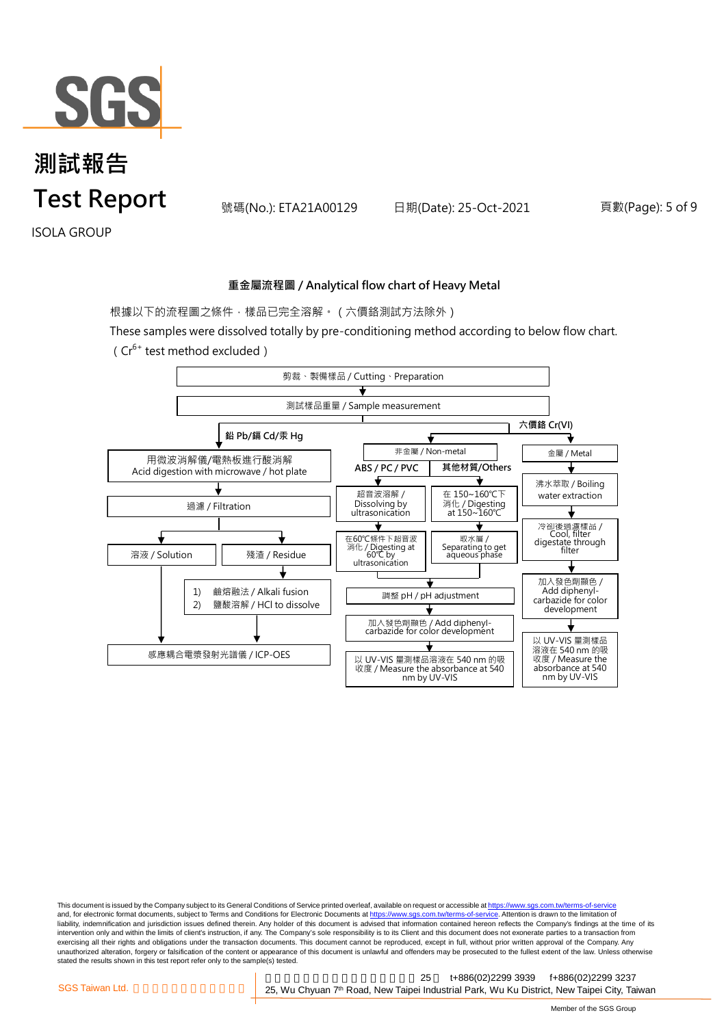

號碼(No.): ETA21A00129 日期(Date): 25-Oct-2021 頁數(Page): 5 of 9

ISOLA GROUP

#### **重金屬流程圖 / Analytical flow chart of Heavy Metal**

根據以下的流程圖之條件,樣品已完全溶解。(六價鉻測試方法除外)

These samples were dissolved totally by pre-conditioning method according to below flow chart.



This document is issued by the Company subject to its General Conditions of Service printed overleaf, available on request or accessible at https://www.sgs.com.tw/terms-of-service and, for electronic format documents, subject to Terms and Conditions for Electronic Documents at https://www.sgs.com.tw/terms-of-service. Attention is drawn to the limitation of liability, indemnification and jurisdiction issues defined therein. Any holder of this document is advised that information contained hereon reflects the Company's findings at the time of its intervention only and within the limits of client's instruction, if any. The Company's sole responsibility is to its Client and this document does not exonerate parties to a transaction from exercising all their rights and obligations under the transaction documents. This document cannot be reproduced, except in full, without prior written approval of the Company. Any<br>unauthorized alteration, forgery or falsif stated the results shown in this test report refer only to the sample(s) tested.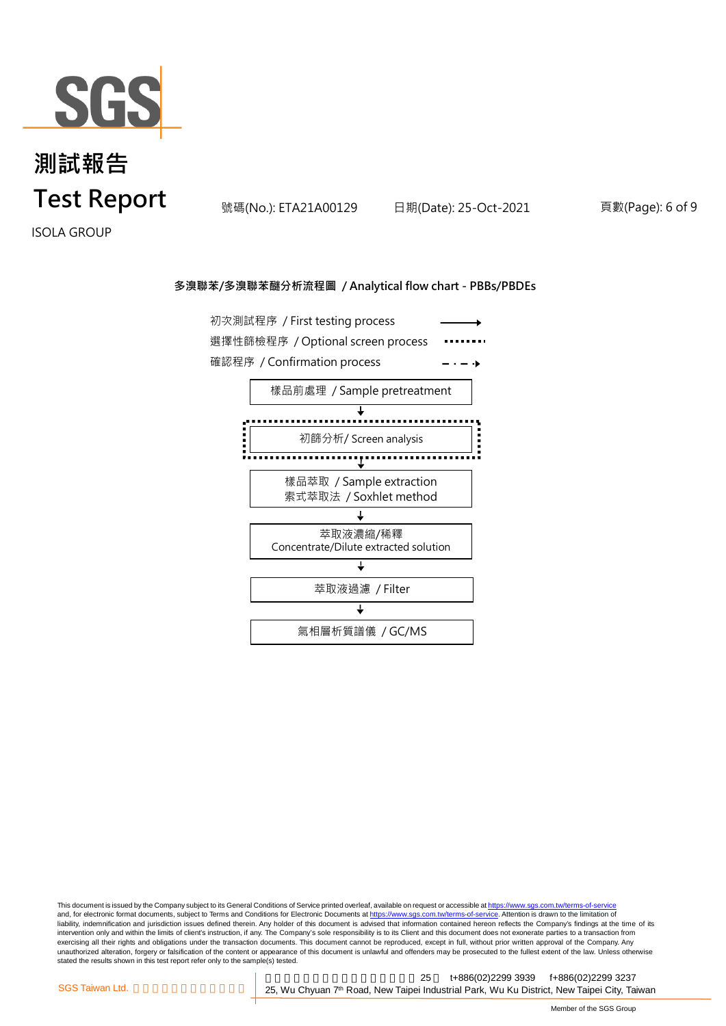

號碼(No.): ETA21A00129 日期(Date): 25-Oct-2021 頁數(Page): 6 of 9

ISOLA GROUP

#### **多溴聯苯/多溴聯苯醚分析流程圖 / Analytical flow chart - PBBs/PBDEs**



This document is issued by the Company subject to its General Conditions of Service printed overleaf, available on request or accessible at <u>https://www.sgs.com.tw/terms-of-service</u><br>and, for electronic format documents, su liability, indemnification and jurisdiction issues defined therein. Any holder of this document is advised that information contained hereon reflects the Company's findings at the time of its intervention only and within the limits of client's instruction, if any. The Company's sole responsibility is to its Client and this document does not exonerate parties to a transaction from exercising all their rights and obligations under the transaction documents. This document cannot be reproduced, except in full, without prior written approval of the Company. Any<br>unauthorized alteration, forgery or falsif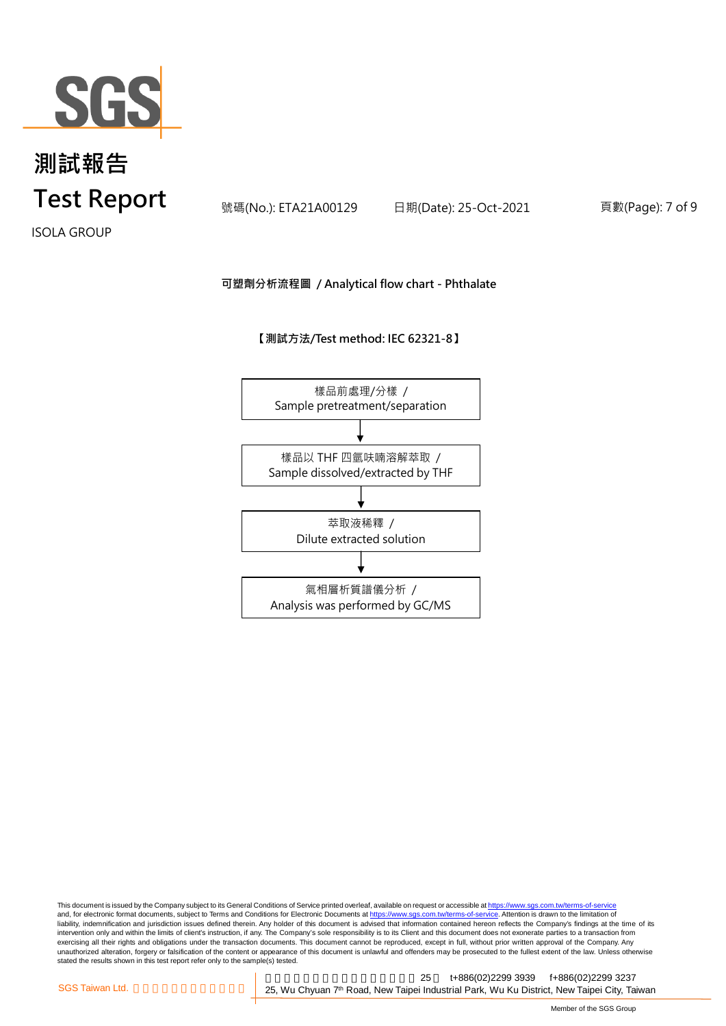

號碼(No.): ETA21A00129 日期(Date): 25-Oct-2021 頁數(Page): 7 of 9

ISOLA GROUP

#### **可塑劑分析流程圖 / Analytical flow chart - Phthalate**

**【測試方法/Test method: IEC 62321-8】**



This document is issued by the Company subject to its General Conditions of Service printed overleaf, available on request or accessible at <u>https://www.sgs.com.tw/terms-of-service</u><br>and, for electronic format documents, su liability, indemnification and jurisdiction issues defined therein. Any holder of this document is advised that information contained hereon reflects the Company's findings at the time of its intervention only and within the limits of client's instruction, if any. The Company's sole responsibility is to its Client and this document does not exonerate parties to a transaction from exercising all their rights and obligations under the transaction documents. This document cannot be reproduced, except in full, without prior written approval of the Company. Any<br>unauthorized alteration, forgery or falsif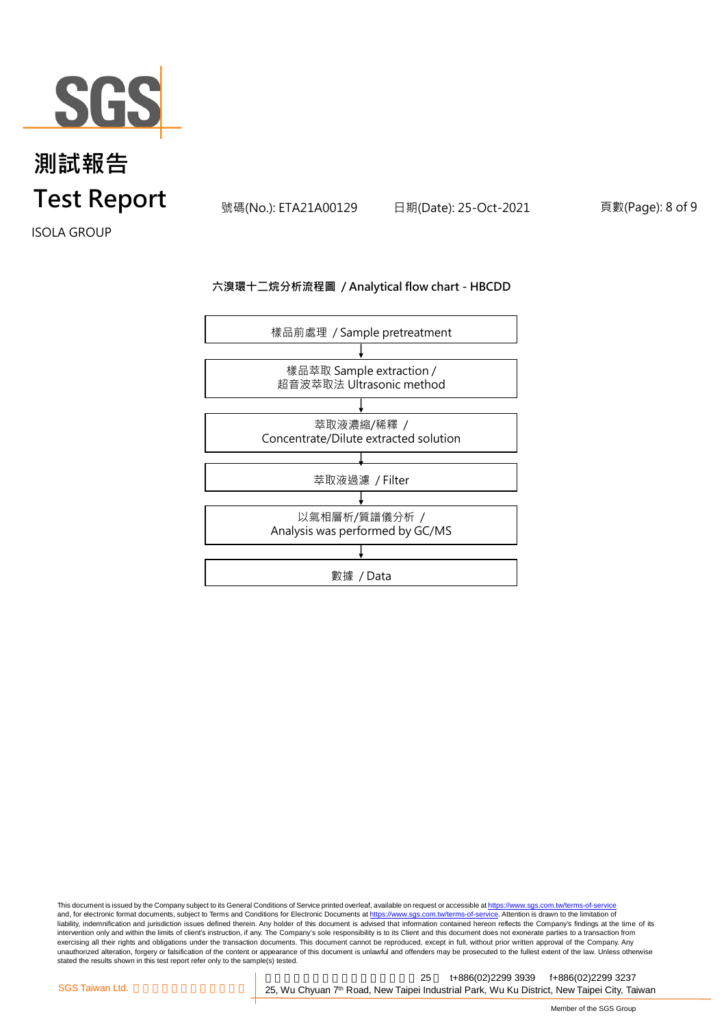

號碼(No.): ETA21A00129 日期(Date): 25-Oct-2021 頁數(Page): 8 of 9

ISOLA GROUP

#### **六溴環十二烷分析流程圖 / Analytical flow chart - HBCDD**



This document is issued by the Company subject to its General Conditions of Service printed overleaf, available on request or accessible at <u>https://www.sgs.com.tw/terms-of-service</u><br>and, for electronic format documents, su liability, indemnification and jurisdiction issues defined therein. Any holder of this document is advised that information contained hereon reflects the Company's findings at the time of its liability, indemnification and intervention only and within the limits of client's instruction, if any. The Company's sole responsibility is to its Client and this document does not exonerate parties to a transaction from exercising all their rights and obligations under the transaction documents. This document cannot be reproduced, except in full, without prior written approval of the Company. Any<br>unauthorized alteration, forgery or falsif